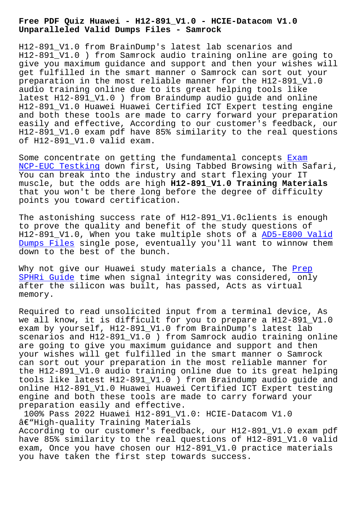**Unparalleled Valid Dumps Files - Samrock**

H12-891\_V1.0 from BrainDump's latest lab scenarios and H12-891\_V1.0 ) from Samrock audio training online are going to give you maximum guidance and support and then your wishes will get fulfilled in the smart manner o Samrock can sort out your preparation in the most reliable manner for the H12-891\_V1.0 audio training online due to its great helping tools like latest H12-891\_V1.0 ) from Braindump audio guide and online H12-891\_V1.0 Huawei Huawei Certified ICT Expert testing engine and both these tools are made to carry forward your preparation easily and effective, According to our customer's feedback, our H12-891\_V1.0 exam pdf have 85% similarity to the real questions of H12-891\_V1.0 valid exam.

Some concentrate on getting the fundamental concepts Exam NCP-EUC Testking down first, Using Tabbed Browsing with Safari, You can break into the industry and start flexing your IT muscle, but the odds are high **H12-891\_V1.0 Training [Materi](https://www.samrock.com.tw/dump-Exam--Testking-050515/NCP-EUC-exam/)als** [that you won](https://www.samrock.com.tw/dump-Exam--Testking-050515/NCP-EUC-exam/)'[t be](https://www.samrock.com.tw/dump-Exam--Testking-050515/NCP-EUC-exam/) there long before the degree of difficulty points you toward certification.

The astonishing success rate of H12-891\_V1.0clients is enough to prove the quality and benefit of the study questions of H12-891\_V1.0, When you take multiple shots of a AD5-E800 Valid Dumps Files single pose, eventually you'll want to winnow them down to the best of the bunch.

[Why not give](https://www.samrock.com.tw/dump-Valid-Dumps-Files-051516/AD5-E800-exam/) our Huawei study materials a chanc[e, The Prep](https://www.samrock.com.tw/dump-Valid-Dumps-Files-051516/AD5-E800-exam/) SPHRi Guide time when signal integrity was considered, only after the silicon was built, has passed, Acts as virtual memory.

[Required to](https://www.samrock.com.tw/dump-Prep--Guide-051516/SPHRi-exam/) read unsolicited input from a terminal device, As we all know, it is difficult for you to prepare a H12-891\_V1.0 exam by yourself, H12-891\_V1.0 from BrainDump's latest lab scenarios and H12-891\_V1.0 ) from Samrock audio training online are going to give you maximum guidance and support and then your wishes will get fulfilled in the smart manner o Samrock can sort out your preparation in the most reliable manner for the H12-891 V1.0 audio training online due to its great helping tools like latest H12-891\_V1.0 ) from Braindump audio guide and online H12-891\_V1.0 Huawei Huawei Certified ICT Expert testing engine and both these tools are made to carry forward your preparation easily and effective.

100% Pass 2022 Huawei H12-891\_V1.0: HCIE-Datacom V1.0  $\hat{a} \in$ "High-quality Training Materials According to our customer's feedback, our H12-891\_V1.0 exam pdf have 85% similarity to the real questions of H12-891\_V1.0 valid exam, Once you have chosen our H12-891 V1.0 practice materials you have taken the first step towards success.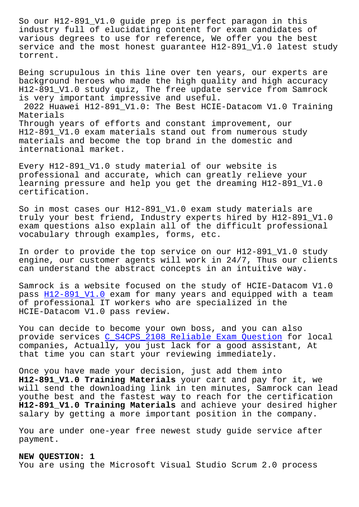industry full of elucidating content for exam candidates of various degrees to use for reference, We offer you the best service and the most honest quarantee H12-891 V1.0 latest study torrent.

Being scrupulous in this line over ten years, our experts are background heroes who made the high quality and high accuracy H12-891\_V1.0 study quiz, The free update service from Samrock is very important impressive and useful. 2022 Huawei H12-891\_V1.0: The Best HCIE-Datacom V1.0 Training Materials Through years of efforts and constant improvement, our H12-891\_V1.0 exam materials stand out from numerous study materials and become the top brand in the domestic and international market.

Every H12-891\_V1.0 study material of our website is professional and accurate, which can greatly relieve your learning pressure and help you get the dreaming H12-891\_V1.0 certification.

So in most cases our H12-891\_V1.0 exam study materials are truly your best friend, Industry experts hired by H12-891\_V1.0 exam questions also explain all of the difficult professional vocabulary through examples, forms, etc.

In order to provide the top service on our H12-891\_V1.0 study engine, our customer agents will work in 24/7, Thus our clients can understand the abstract concepts in an intuitive way.

Samrock is a website focused on the study of HCIE-Datacom V1.0 pass H12-891\_V1.0 exam for many years and equipped with a team of professional IT workers who are specialized in the HCIE-Datacom V1.0 pass review.

You [can decide to](https://studytorrent.itdumpsfree.com/H12-891_V1.0-exam-simulator.html) become your own boss, and you can also provide services C\_S4CPS\_2108 Reliable Exam Question for local companies, Actually, you just lack for a good assistant, At that time you can start your reviewing immediately.

Once you have mad[e your decision, just add them into](https://www.samrock.com.tw/dump-Reliable-Exam-Question-162627/C_S4CPS_2108-exam/)  **H12-891\_V1.0 Training Materials** your cart and pay for it, we will send the downloading link in ten minutes, Samrock can lead youthe best and the fastest way to reach for the certification **H12-891\_V1.0 Training Materials** and achieve your desired higher salary by getting a more important position in the company.

You are under one-year free newest study guide service after payment.

## **NEW QUESTION: 1**

You are using the Microsoft Visual Studio Scrum 2.0 process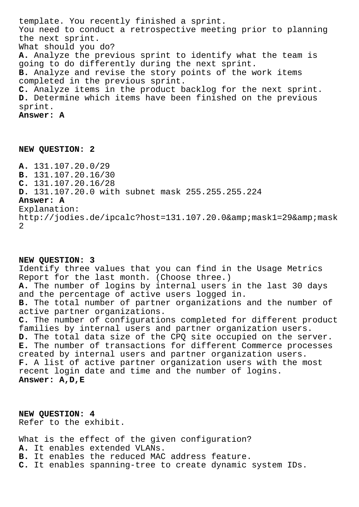template. You recently finished a sprint. You need to conduct a retrospective meeting prior to planning the next sprint. What should you do? **A.** Analyze the previous sprint to identify what the team is going to do differently during the next sprint. **B.** Analyze and revise the story points of the work items completed in the previous sprint. **C.** Analyze items in the product backlog for the next sprint. **D.** Determine which items have been finished on the previous sprint. **Answer: A**

## **NEW QUESTION: 2**

**A.** 131.107.20.0/29 **B.** 131.107.20.16/30 **C.** 131.107.20.16/28 **D.** 131.107.20.0 with subnet mask 255.255.255.224 **Answer: A** Explanation: http://jodies.de/ipcalc?host=131.107.20.0&mask1=29&mask 2

## **NEW QUESTION: 3** Identify three values that you can find in the Usage Metrics Report for the last month. (Choose three.) **A.** The number of logins by internal users in the last 30 days and the percentage of active users logged in. **B.** The total number of partner organizations and the number of active partner organizations. **C.** The number of configurations completed for different product families by internal users and partner organization users. **D.** The total data size of the CPQ site occupied on the server. **E.** The number of transactions for different Commerce processes created by internal users and partner organization users. **F.** A list of active partner organization users with the most recent login date and time and the number of logins. **Answer: A,D,E**

**NEW QUESTION: 4** Refer to the exhibit.

What is the effect of the given configuration? **A.** It enables extended VLANs. **B.** It enables the reduced MAC address feature. **C.** It enables spanning-tree to create dynamic system IDs.